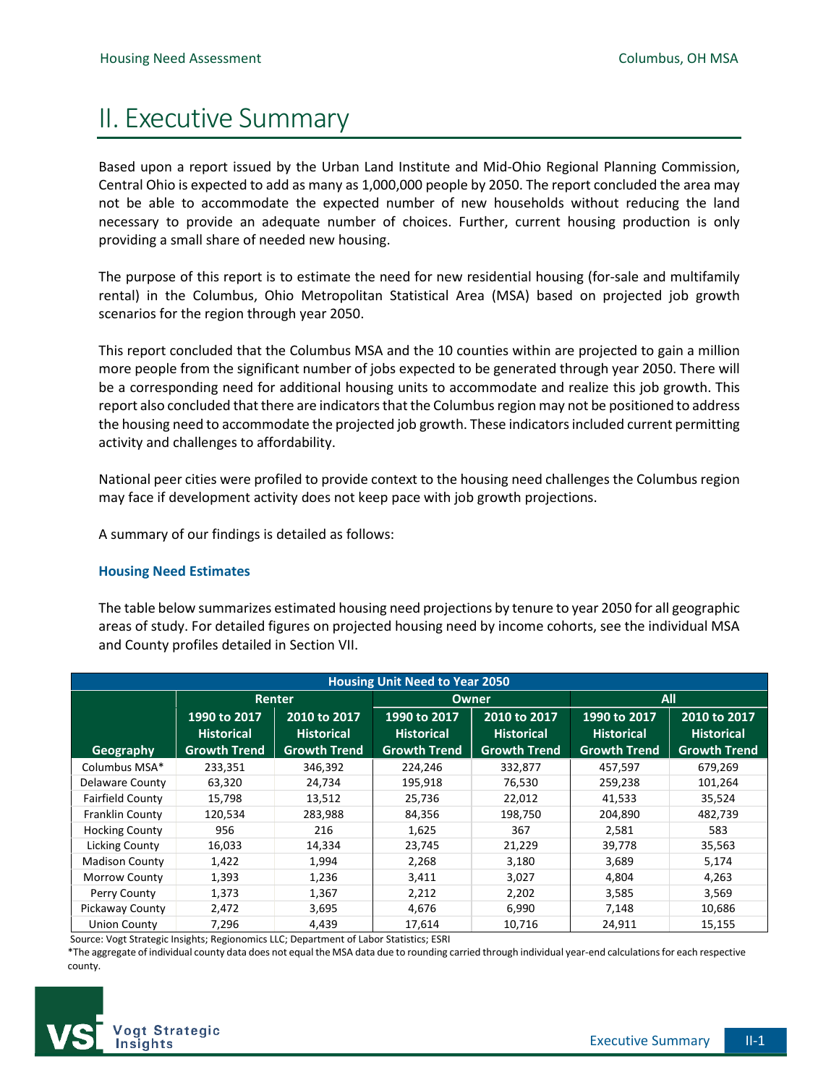# II. Executive Summary

Based upon a report issued by the Urban Land Institute and Mid-Ohio Regional Planning Commission, Central Ohio is expected to add as many as 1,000,000 people by 2050. The report concluded the area may not be able to accommodate the expected number of new households without reducing the land necessary to provide an adequate number of choices. Further, current housing production is only providing a small share of needed new housing.

The purpose of this report is to estimate the need for new residential housing (for-sale and multifamily rental) in the Columbus, Ohio Metropolitan Statistical Area (MSA) based on projected job growth scenarios for the region through year 2050.

This report concluded that the Columbus MSA and the 10 counties within are projected to gain a million more people from the significant number of jobs expected to be generated through year 2050. There will be a corresponding need for additional housing units to accommodate and realize this job growth. This report also concluded that there are indicators that the Columbus region may not be positioned to address the housing need to accommodate the projected job growth. These indicators included current permitting activity and challenges to affordability.

National peer cities were profiled to provide context to the housing need challenges the Columbus region may face if development activity does not keep pace with job growth projections.

A summary of our findings is detailed as follows:

## **Housing Need Estimates**

The table below summarizes estimated housing need projections by tenure to year 2050 for all geographic areas of study. For detailed figures on projected housing need by income cohorts, see the individual MSA and County profiles detailed in Section VII.

| <b>Housing Unit Need to Year 2050</b> |                     |                     |                     |                     |                     |                     |
|---------------------------------------|---------------------|---------------------|---------------------|---------------------|---------------------|---------------------|
|                                       | Renter              |                     | Owner               |                     | All                 |                     |
|                                       | 1990 to 2017        | 2010 to 2017        | 1990 to 2017        | 2010 to 2017        | 1990 to 2017        | 2010 to 2017        |
|                                       | <b>Historical</b>   | <b>Historical</b>   | <b>Historical</b>   | <b>Historical</b>   | <b>Historical</b>   | <b>Historical</b>   |
| <b>Geography</b>                      | <b>Growth Trend</b> | <b>Growth Trend</b> | <b>Growth Trend</b> | <b>Growth Trend</b> | <b>Growth Trend</b> | <b>Growth Trend</b> |
| Columbus MSA*                         | 233,351             | 346,392             | 224,246             | 332,877             | 457,597             | 679,269             |
| Delaware County                       | 63,320              | 24,734              | 195,918             | 76,530              | 259,238             | 101,264             |
| <b>Fairfield County</b>               | 15,798              | 13,512              | 25,736              | 22,012              | 41,533              | 35,524              |
| Franklin County                       | 120,534             | 283,988             | 84,356              | 198,750             | 204,890             | 482,739             |
| <b>Hocking County</b>                 | 956                 | 216                 | 1,625               | 367                 | 2,581               | 583                 |
| <b>Licking County</b>                 | 16,033              | 14,334              | 23,745              | 21,229              | 39,778              | 35,563              |
| <b>Madison County</b>                 | 1,422               | 1,994               | 2,268               | 3,180               | 3,689               | 5,174               |
| Morrow County                         | 1,393               | 1,236               | 3,411               | 3,027               | 4,804               | 4,263               |
| Perry County                          | 1,373               | 1,367               | 2,212               | 2,202               | 3,585               | 3,569               |
| <b>Pickaway County</b>                | 2,472               | 3,695               | 4,676               | 6,990               | 7,148               | 10,686              |
| <b>Union County</b>                   | 7,296               | 4,439               | 17,614              | 10,716              | 24,911              | 15,155              |

Source: Vogt Strategic Insights; Regionomics LLC; Department of Labor Statistics; ESRI

\*The aggregate of individual county data does not equal the MSA data due to rounding carried through individual year-end calculations for each respective county.

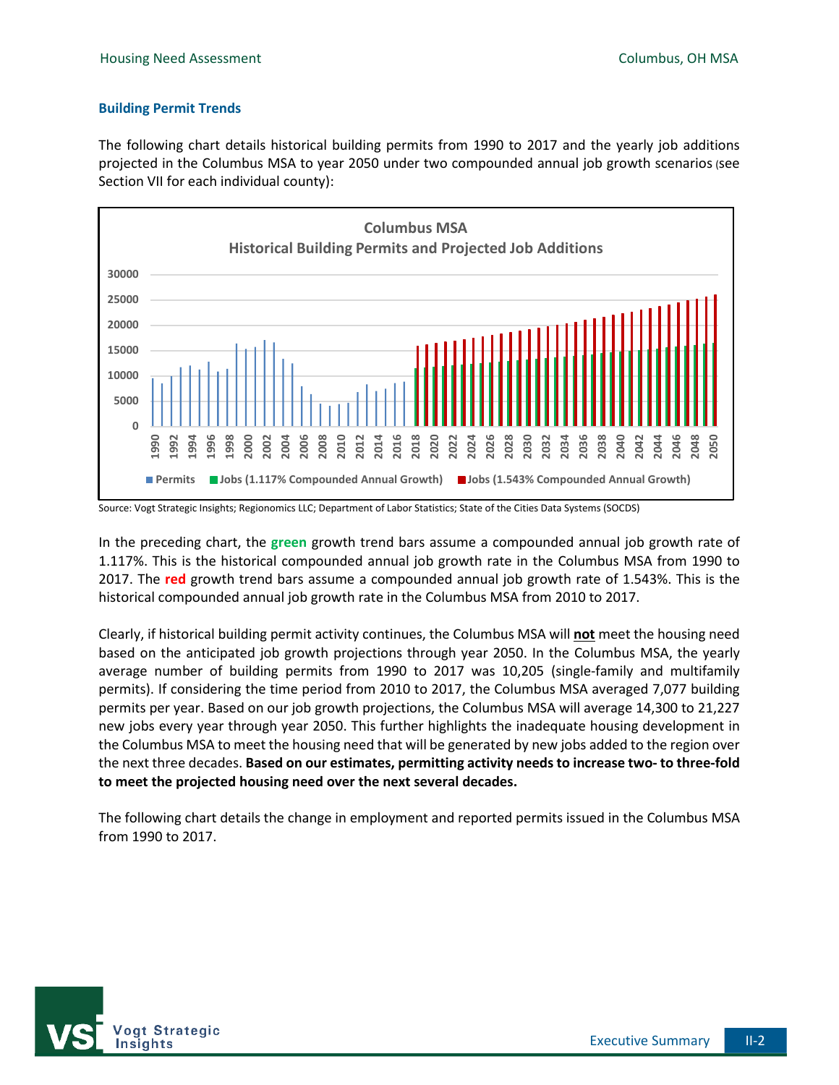### **Building Permit Trends**

The following chart details historical building permits from 1990 to 2017 and the yearly job additions projected in the Columbus MSA to year 2050 under two compounded annual job growth scenarios (see Section VII for each individual county):



Source: Vogt Strategic Insights; Regionomics LLC; Department of Labor Statistics; State of the Cities Data Systems (SOCDS)

In the preceding chart, the **green** growth trend bars assume a compounded annual job growth rate of 1.117%. This is the historical compounded annual job growth rate in the Columbus MSA from 1990 to 2017. The **red** growth trend bars assume a compounded annual job growth rate of 1.543%. This is the historical compounded annual job growth rate in the Columbus MSA from 2010 to 2017.

Clearly, if historical building permit activity continues, the Columbus MSA will **not** meet the housing need based on the anticipated job growth projections through year 2050. In the Columbus MSA, the yearly average number of building permits from 1990 to 2017 was 10,205 (single-family and multifamily permits). If considering the time period from 2010 to 2017, the Columbus MSA averaged 7,077 building permits per year. Based on our job growth projections, the Columbus MSA will average 14,300 to 21,227 new jobs every year through year 2050. This further highlights the inadequate housing development in the Columbus MSA to meet the housing need that will be generated by new jobs added to the region over the next three decades. **Based on our estimates, permitting activity needs to increase two- to three-fold to meet the projected housing need over the next several decades.**

The following chart details the change in employment and reported permits issued in the Columbus MSA from 1990 to 2017.

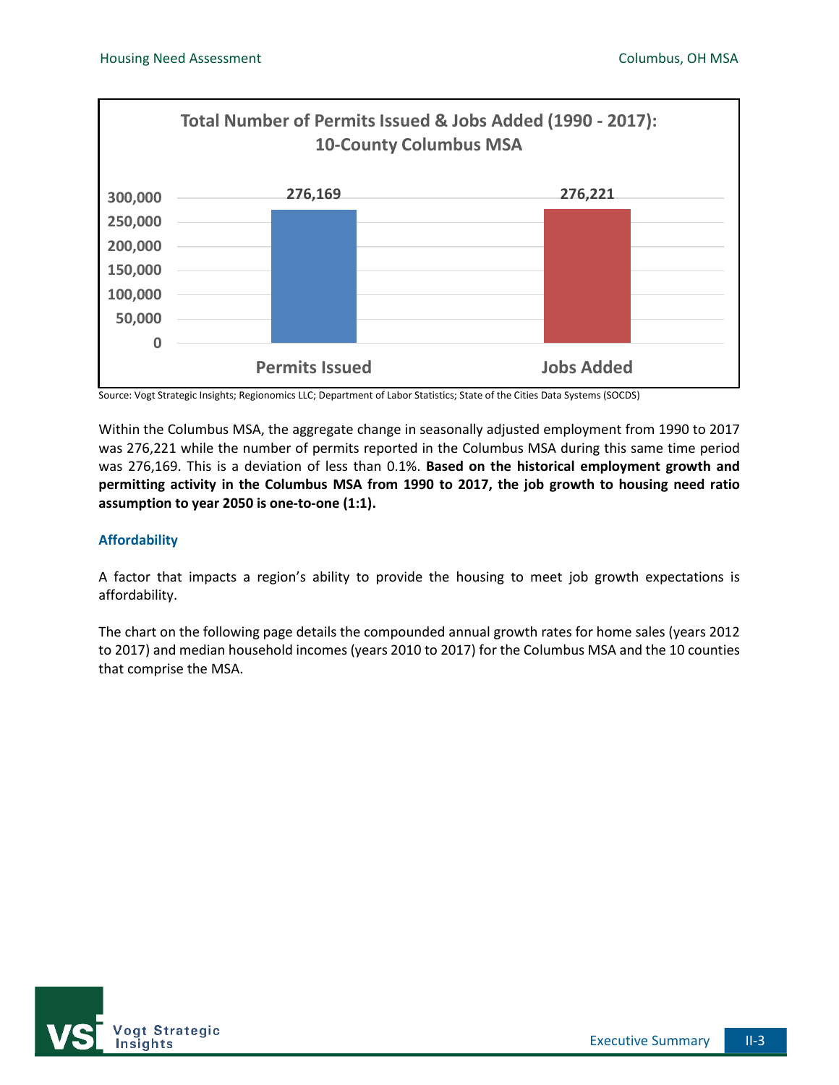

Source: Vogt Strategic Insights; Regionomics LLC; Department of Labor Statistics; State of the Cities Data Systems (SOCDS)

Within the Columbus MSA, the aggregate change in seasonally adjusted employment from 1990 to 2017 was 276,221 while the number of permits reported in the Columbus MSA during this same time period was 276,169. This is a deviation of less than 0.1%. **Based on the historical employment growth and permitting activity in the Columbus MSA from 1990 to 2017, the job growth to housing need ratio assumption to year 2050 is one-to-one (1:1).** 

## **Affordability**

A factor that impacts a region's ability to provide the housing to meet job growth expectations is affordability.

The chart on the following page details the compounded annual growth rates for home sales (years 2012 to 2017) and median household incomes (years 2010 to 2017) for the Columbus MSA and the 10 counties that comprise the MSA.

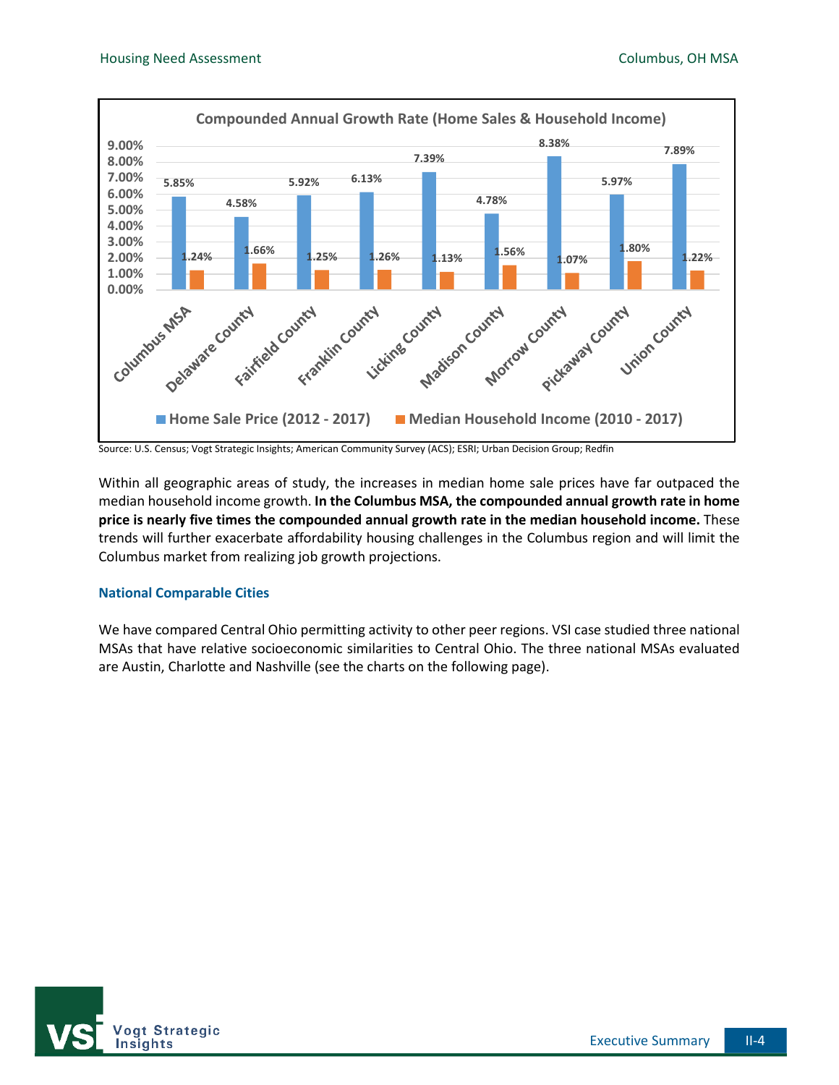

Source: U.S. Census; Vogt Strategic Insights; American Community Survey (ACS); ESRI; Urban Decision Group; Redfin

Within all geographic areas of study, the increases in median home sale prices have far outpaced the median household income growth. **In the Columbus MSA, the compounded annual growth rate in home price is nearly five times the compounded annual growth rate in the median household income.** These trends will further exacerbate affordability housing challenges in the Columbus region and will limit the Columbus market from realizing job growth projections.

#### **National Comparable Cities**

We have compared Central Ohio permitting activity to other peer regions. VSI case studied three national MSAs that have relative socioeconomic similarities to Central Ohio. The three national MSAs evaluated are Austin, Charlotte and Nashville (see the charts on the following page).